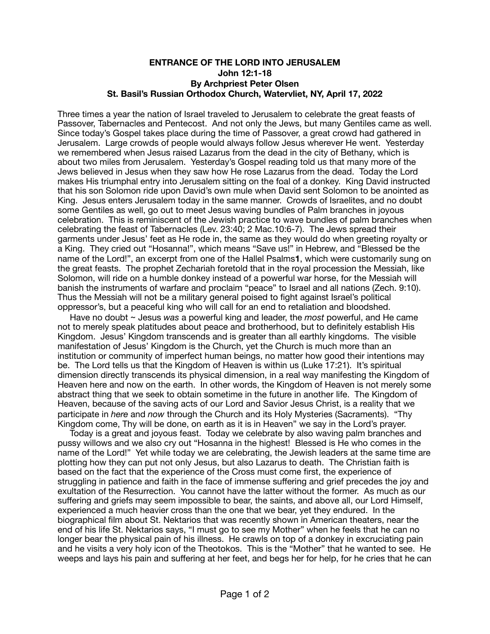## **ENTRANCE OF THE LORD INTO JERUSALEM John 12:1-18 By Archpriest Peter Olsen St. Basil's Russian Orthodox Church, Watervliet, NY, April 17, 2022**

Three times a year the nation of Israel traveled to Jerusalem to celebrate the great feasts of Passover, Tabernacles and Pentecost. And not only the Jews, but many Gentiles came as well. Since today's Gospel takes place during the time of Passover, a great crowd had gathered in Jerusalem. Large crowds of people would always follow Jesus wherever He went. Yesterday we remembered when Jesus raised Lazarus from the dead in the city of Bethany, which is about two miles from Jerusalem. Yesterday's Gospel reading told us that many more of the Jews believed in Jesus when they saw how He rose Lazarus from the dead. Today the Lord makes His triumphal entry into Jerusalem sitting on the foal of a donkey. King David instructed that his son Solomon ride upon David's own mule when David sent Solomon to be anointed as King. Jesus enters Jerusalem today in the same manner. Crowds of Israelites, and no doubt some Gentiles as well, go out to meet Jesus waving bundles of Palm branches in joyous celebration. This is reminiscent of the Jewish practice to wave bundles of palm branches when celebrating the feast of Tabernacles (Lev. 23:40; 2 Mac.10:6-7). The Jews spread their garments under Jesus' feet as He rode in, the same as they would do when greeting royalty or a King. They cried out "Hosanna!", which means "Save us!" in Hebrew, and "Blessed be the name of the Lord!", an excerpt from one of the Hallel Psalms**1**, which were customarily sung on the great feasts. The prophet Zechariah foretold that in the royal procession the Messiah, like Solomon, will ride on a humble donkey instead of a powerful war horse, for the Messiah will banish the instruments of warfare and proclaim "peace" to Israel and all nations (Zech. 9:10). Thus the Messiah will not be a military general poised to fight against Israel's political oppressor's, but a peaceful king who will call for an end to retaliation and bloodshed.

 Have no doubt ~ Jesus *was* a powerful king and leader, the *most* powerful, and He came not to merely speak platitudes about peace and brotherhood, but to definitely establish His Kingdom. Jesus' Kingdom transcends and is greater than all earthly kingdoms. The visible manifestation of Jesus' Kingdom is the Church, yet the Church is much more than an institution or community of imperfect human beings, no matter how good their intentions may be. The Lord tells us that the Kingdom of Heaven is within us (Luke 17:21). It's spiritual dimension directly transcends its physical dimension, in a real way manifesting the Kingdom of Heaven here and now on the earth. In other words, the Kingdom of Heaven is not merely some abstract thing that we seek to obtain sometime in the future in another life. The Kingdom of Heaven, because of the saving acts of our Lord and Savior Jesus Christ, is a reality that we participate in *here* and *now* through the Church and its Holy Mysteries (Sacraments). "Thy Kingdom come, Thy will be done, on earth as it is in Heaven" we say in the Lord's prayer.

 Today is a great and joyous feast. Today we celebrate by also waving palm branches and pussy willows and we also cry out "Hosanna in the highest! Blessed is He who comes in the name of the Lord!" Yet while today we are celebrating, the Jewish leaders at the same time are plotting how they can put not only Jesus, but also Lazarus to death. The Christian faith is based on the fact that the experience of the Cross must come first, the experience of struggling in patience and faith in the face of immense suffering and grief precedes the joy and exultation of the Resurrection. You cannot have the latter without the former. As much as our suffering and griefs may seem impossible to bear, the saints, and above all, our Lord Himself, experienced a much heavier cross than the one that we bear, yet they endured. In the biographical film about St. Nektarios that was recently shown in American theaters, near the end of his life St. Nektarios says, "I must go to see my Mother" when he feels that he can no longer bear the physical pain of his illness. He crawls on top of a donkey in excruciating pain and he visits a very holy icon of the Theotokos. This is the "Mother" that he wanted to see. He weeps and lays his pain and suffering at her feet, and begs her for help, for he cries that he can